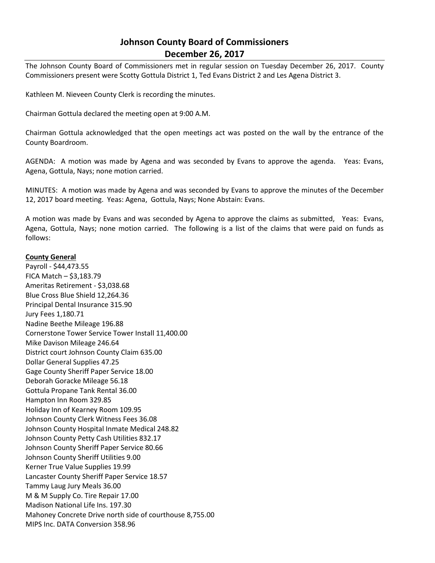# **Johnson County Board of Commissioners December 26, 2017**

The Johnson County Board of Commissioners met in regular session on Tuesday December 26, 2017. County Commissioners present were Scotty Gottula District 1, Ted Evans District 2 and Les Agena District 3.

Kathleen M. Nieveen County Clerk is recording the minutes.

Chairman Gottula declared the meeting open at 9:00 A.M.

Chairman Gottula acknowledged that the open meetings act was posted on the wall by the entrance of the County Boardroom.

AGENDA: A motion was made by Agena and was seconded by Evans to approve the agenda. Yeas: Evans, Agena, Gottula, Nays; none motion carried.

MINUTES: A motion was made by Agena and was seconded by Evans to approve the minutes of the December 12, 2017 board meeting. Yeas: Agena, Gottula, Nays; None Abstain: Evans.

A motion was made by Evans and was seconded by Agena to approve the claims as submitted, Yeas: Evans, Agena, Gottula, Nays; none motion carried. The following is a list of the claims that were paid on funds as follows:

## **County General**

Payroll - \$44,473.55 FICA Match – \$3,183.79 Ameritas Retirement - \$3,038.68 Blue Cross Blue Shield 12,264.36 Principal Dental Insurance 315.90 Jury Fees 1,180.71 Nadine Beethe Mileage 196.88 Cornerstone Tower Service Tower Install 11,400.00 Mike Davison Mileage 246.64 District court Johnson County Claim 635.00 Dollar General Supplies 47.25 Gage County Sheriff Paper Service 18.00 Deborah Goracke Mileage 56.18 Gottula Propane Tank Rental 36.00 Hampton Inn Room 329.85 Holiday Inn of Kearney Room 109.95 Johnson County Clerk Witness Fees 36.08 Johnson County Hospital Inmate Medical 248.82 Johnson County Petty Cash Utilities 832.17 Johnson County Sheriff Paper Service 80.66 Johnson County Sheriff Utilities 9.00 Kerner True Value Supplies 19.99 Lancaster County Sheriff Paper Service 18.57 Tammy Laug Jury Meals 36.00 M & M Supply Co. Tire Repair 17.00 Madison National Life Ins. 197.30 Mahoney Concrete Drive north side of courthouse 8,755.00 MIPS Inc. DATA Conversion 358.96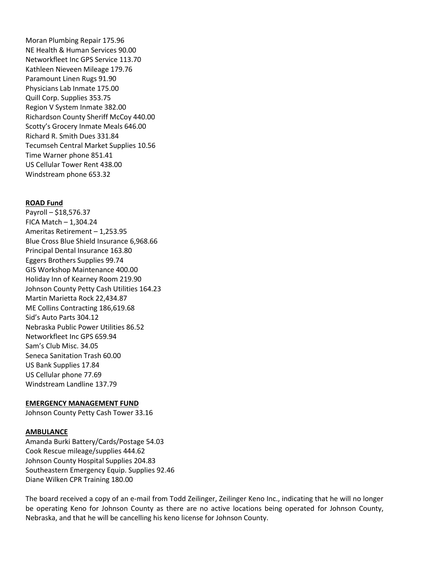Moran Plumbing Repair 175.96 NE Health & Human Services 90.00 Networkfleet Inc GPS Service 113.70 Kathleen Nieveen Mileage 179.76 Paramount Linen Rugs 91.90 Physicians Lab Inmate 175.00 Quill Corp. Supplies 353.75 Region V System Inmate 382.00 Richardson County Sheriff McCoy 440.00 Scotty's Grocery Inmate Meals 646.00 Richard R. Smith Dues 331.84 Tecumseh Central Market Supplies 10.56 Time Warner phone 851.41 US Cellular Tower Rent 438.00 Windstream phone 653.32

### **ROAD Fund**

Payroll – \$18,576.37 FICA Match – 1,304.24 Ameritas Retirement – 1,253.95 Blue Cross Blue Shield Insurance 6,968.66 Principal Dental Insurance 163.80 Eggers Brothers Supplies 99.74 GIS Workshop Maintenance 400.00 Holiday Inn of Kearney Room 219.90 Johnson County Petty Cash Utilities 164.23 Martin Marietta Rock 22,434.87 ME Collins Contracting 186,619.68 Sid's Auto Parts 304.12 Nebraska Public Power Utilities 86.52 Networkfleet Inc GPS 659.94 Sam's Club Misc. 34.05 Seneca Sanitation Trash 60.00 US Bank Supplies 17.84 US Cellular phone 77.69 Windstream Landline 137.79

### **EMERGENCY MANAGEMENT FUND**

Johnson County Petty Cash Tower 33.16

### **AMBULANCE**

Amanda Burki Battery/Cards/Postage 54.03 Cook Rescue mileage/supplies 444.62 Johnson County Hospital Supplies 204.83 Southeastern Emergency Equip. Supplies 92.46 Diane Wilken CPR Training 180.00

The board received a copy of an e-mail from Todd Zeilinger, Zeilinger Keno Inc., indicating that he will no longer be operating Keno for Johnson County as there are no active locations being operated for Johnson County, Nebraska, and that he will be cancelling his keno license for Johnson County.